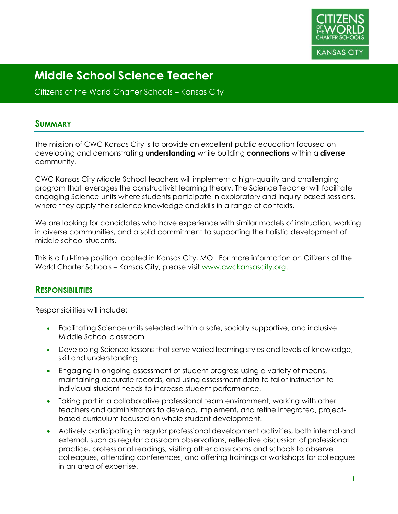

Citizens of the World Charter Schools – Kansas City

#### **SUMMARY**

The mission of CWC Kansas City is to provide an excellent public education focused on developing and demonstrating **understanding** while building **connections** within a **diverse** community.

CWC Kansas City Middle School teachers will implement a high-quality and challenging program that leverages the constructivist learning theory. The Science Teacher will facilitate engaging Science units where students participate in exploratory and inquiry-based sessions, where they apply their science knowledge and skills in a range of contexts.

We are looking for candidates who have experience with similar models of instruction, working in diverse communities, and a solid commitment to supporting the holistic development of middle school students.

This is a full-time position located in Kansas City, MO. For more information on Citizens of the World Charter Schools – Kansas City, please visit www.cwckansascity.org.

#### **RESPONSIBILITIES**

Responsibilities will include:

- Facilitating Science units selected within a safe, socially supportive, and inclusive Middle School classroom
- Developing Science lessons that serve varied learning styles and levels of knowledge, skill and understanding
- Engaging in ongoing assessment of student progress using a variety of means, maintaining accurate records, and using assessment data to tailor instruction to individual student needs to increase student performance.
- Taking part in a collaborative professional team environment, working with other teachers and administrators to develop, implement, and refine integrated, projectbased curriculum focused on whole student development.
- Actively participating in regular professional development activities, both internal and external, such as regular classroom observations, reflective discussion of professional practice, professional readings, visiting other classrooms and schools to observe colleagues, attending conferences, and offering trainings or workshops for colleagues in an area of expertise.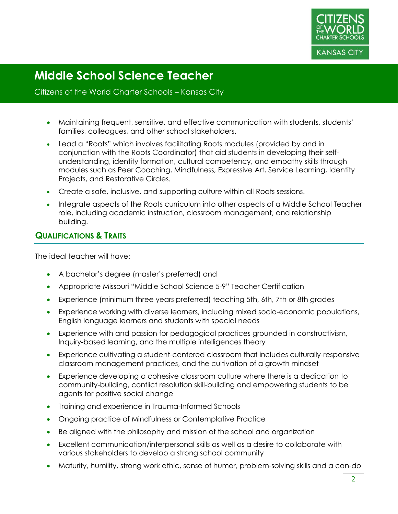

#### Citizens of the World Charter Schools – Kansas City

- Maintaining frequent, sensitive, and effective communication with students, students' families, colleagues, and other school stakeholders.
- Lead a "Roots" which involves facilitating Roots modules (provided by and in conjunction with the Roots Coordinator) that aid students in developing their selfunderstanding, identity formation, cultural competency, and empathy skills through modules such as Peer Coaching, Mindfulness, Expressive Art, Service Learning, Identity Projects, and Restorative Circles.
- Create a safe, inclusive, and supporting culture within all Roots sessions.
- Integrate aspects of the Roots curriculum into other aspects of a Middle School Teacher role, including academic instruction, classroom management, and relationship building.

#### **QUALIFICATIONS & TRAITS**

The ideal teacher will have:

- A bachelor's degree (master's preferred) and
- Appropriate Missouri "Middle School Science 5-9" Teacher Certification
- Experience (minimum three years preferred) teaching 5th, 6th, 7th or 8th grades
- Experience working with diverse learners, including mixed socio-economic populations, English language learners and students with special needs
- Experience with and passion for pedagogical practices grounded in constructivism, Inquiry-based learning, and the multiple intelligences theory
- Experience cultivating a student-centered classroom that includes culturally-responsive classroom management practices, and the cultivation of a growth mindset
- Experience developing a cohesive classroom culture where there is a dedication to community-building, conflict resolution skill-building and empowering students to be agents for positive social change
- Training and experience in Trauma-Informed Schools
- Ongoing practice of Mindfulness or Contemplative Practice
- Be aligned with the philosophy and mission of the school and organization
- Excellent communication/interpersonal skills as well as a desire to collaborate with various stakeholders to develop a strong school community
- Maturity, humility, strong work ethic, sense of humor, problem-solving skills and a can-do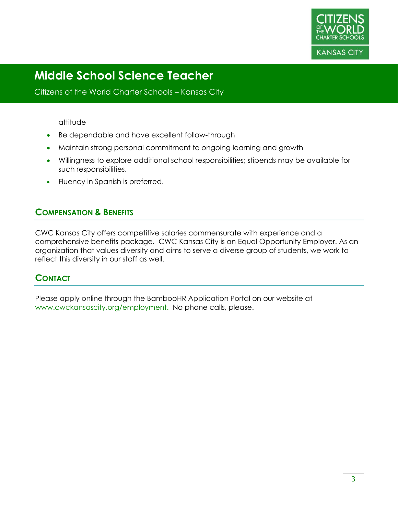

Citizens of the World Charter Schools – Kansas City

#### attitude

- Be dependable and have excellent follow-through
- Maintain strong personal commitment to ongoing learning and growth
- Willingness to explore additional school responsibilities; stipends may be available for such responsibilities.
- Fluency in Spanish is preferred.

### **COMPENSATION & BENEFITS**

CWC Kansas City offers competitive salaries commensurate with experience and a comprehensive benefits package. CWC Kansas City is an Equal Opportunity Employer. As an organization that values diversity and aims to serve a diverse group of students, we work to reflect this diversity in our staff as well.

## **CONTACT**

Please apply online through the BambooHR Application Portal on our website at www.cwckansascity.org/employment. No phone calls, please.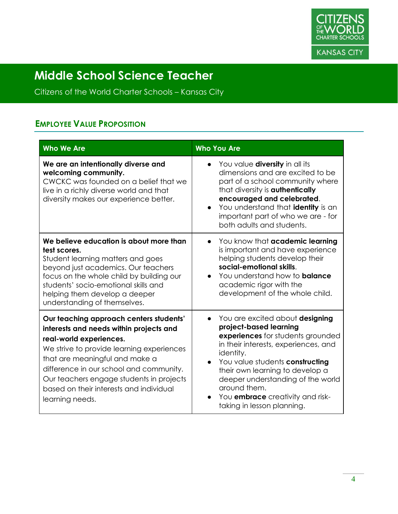

Citizens of the World Charter Schools – Kansas City

## **EMPLOYEE VALUE PROPOSITION**

| <b>Who We Are</b>                                                                                                                                                                                                                                                                                                                                 | <b>Who You Are</b>                                                                                                                                                                                                                                                                                                                                                                             |
|---------------------------------------------------------------------------------------------------------------------------------------------------------------------------------------------------------------------------------------------------------------------------------------------------------------------------------------------------|------------------------------------------------------------------------------------------------------------------------------------------------------------------------------------------------------------------------------------------------------------------------------------------------------------------------------------------------------------------------------------------------|
| We are an intentionally diverse and<br>welcoming community.<br>CWCKC was founded on a belief that we<br>live in a richly diverse world and that<br>diversity makes our experience better.                                                                                                                                                         | You value <b>diversity</b> in all its<br>$\bullet$<br>dimensions and are excited to be<br>part of a school community where<br>that diversity is authentically<br>encouraged and celebrated.<br>You understand that identity is an<br>$\bullet$<br>important part of who we are - for<br>both adults and students.                                                                              |
| We believe education is about more than<br>test scores.<br>Student learning matters and goes<br>beyond just academics. Our teachers<br>focus on the whole child by building our<br>students' socio-emotional skills and<br>helping them develop a deeper<br>understanding of themselves.                                                          | You know that academic learning<br>$\bullet$<br>is important and have experience<br>helping students develop their<br>social-emotional skills.<br>You understand how to <b>balance</b><br>$\bullet$<br>academic rigor with the<br>development of the whole child.                                                                                                                              |
| Our teaching approach centers students'<br>interests and needs within projects and<br>real-world experiences.<br>We strive to provide learning experiences<br>that are meaningful and make a<br>difference in our school and community.<br>Our teachers engage students in projects<br>based on their interests and individual<br>learning needs. | You are excited about designing<br>$\bullet$<br>project-based learning<br>experiences for students grounded<br>in their interests, experiences, and<br>identity.<br>You value students constructing<br>$\bullet$<br>their own learning to develop a<br>deeper understanding of the world<br>around them.<br>You <b>embrace</b> creativity and risk-<br>$\bullet$<br>taking in lesson planning. |